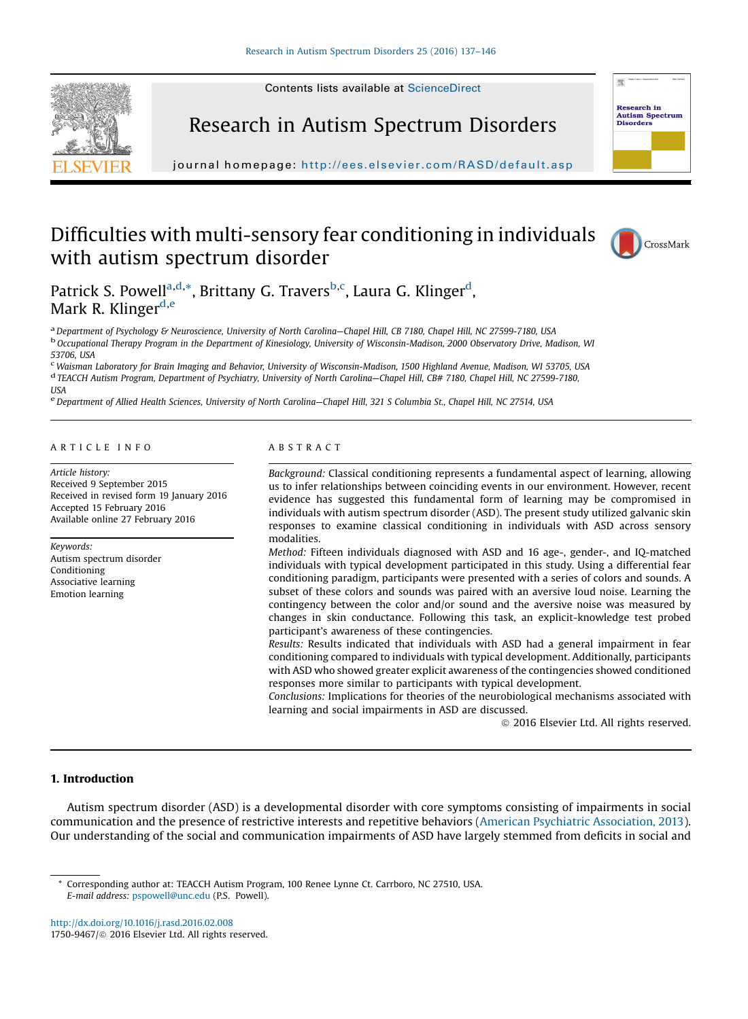Contents lists available at [ScienceDirect](http://www.sciencedirect.com/science/journal/17509467)





journal homepage: <http://ees.elsevier.com/RASD/default.asp>

## Difficulties with multi-sensory fear conditioning in individuals with autism spectrum disorder



麼

Research in Autism Spectrum<br>Disorders

Patrick S. Powell<sup>a,d,\*</sup>, Brittany G. Travers<sup>b,c</sup>, Laura G. Klinger<sup>d</sup>, Mark R. Klinger<sup>d,e</sup>

<sup>a</sup> Department of Psychology & Neuroscience, University of North Carolina–Chapel Hill, CB 7180, Chapel Hill, NC 27599-7180, USA<br><sup>b</sup> Occupational Therapy Program in the Department of Kinesiology, University of Wisconsin-Mad 53706, USA<br>C Waisman Laboratory for Brain Imaging and Behavior, University of Wisconsin-Madison, 1500 Highland Avenue, Madison, WI 53705, USA

<sup>d</sup> TEACCH Autism Program, Department of Psychiatry, University of North Carolina-Chapel Hill, CB# 7180, Chapel Hill, NC 27599-7180, USA

e Department of Allied Health Sciences, University of North Carolina-Chapel Hill, 321 S Columbia St., Chapel Hill, NC 27514, USA

#### A R T I C L E I N F O

Article history: Received 9 September 2015 Received in revised form 19 January 2016 Accepted 15 February 2016 Available online 27 February 2016

Keywords: Autism spectrum disorder Conditioning Associative learning Emotion learning

#### A B S T R A C T

Background: Classical conditioning represents a fundamental aspect of learning, allowing us to infer relationships between coinciding events in our environment. However, recent evidence has suggested this fundamental form of learning may be compromised in individuals with autism spectrum disorder (ASD). The present study utilized galvanic skin responses to examine classical conditioning in individuals with ASD across sensory modalities.

Method: Fifteen individuals diagnosed with ASD and 16 age-, gender-, and IQ-matched individuals with typical development participated in this study. Using a differential fear conditioning paradigm, participants were presented with a series of colors and sounds. A subset of these colors and sounds was paired with an aversive loud noise. Learning the contingency between the color and/or sound and the aversive noise was measured by changes in skin conductance. Following this task, an explicit-knowledge test probed participant's awareness of these contingencies.

Results: Results indicated that individuals with ASD had a general impairment in fear conditioning compared to individuals with typical development. Additionally, participants with ASD who showed greater explicit awareness of the contingencies showed conditioned responses more similar to participants with typical development.

Conclusions: Implications for theories of the neurobiological mechanisms associated with learning and social impairments in ASD are discussed.

ã 2016 Elsevier Ltd. All rights reserved.

### 1. Introduction

Autism spectrum disorder (ASD) is a developmental disorder with core symptoms consisting of impairments in social communication and the presence of restrictive interests and repetitive behaviors (American Psychiatric Association, 2013). Our understanding of the social and communication impairments of ASD have largely stemmed from deficits in social and

<sup>\*</sup> Corresponding author at: TEACCH Autism Program, 100 Renee Lynne Ct. Carrboro, NC 27510, USA. E-mail address: [pspowell@unc.edu](mailto:pspowell@unc.edu) (P.S. Powell).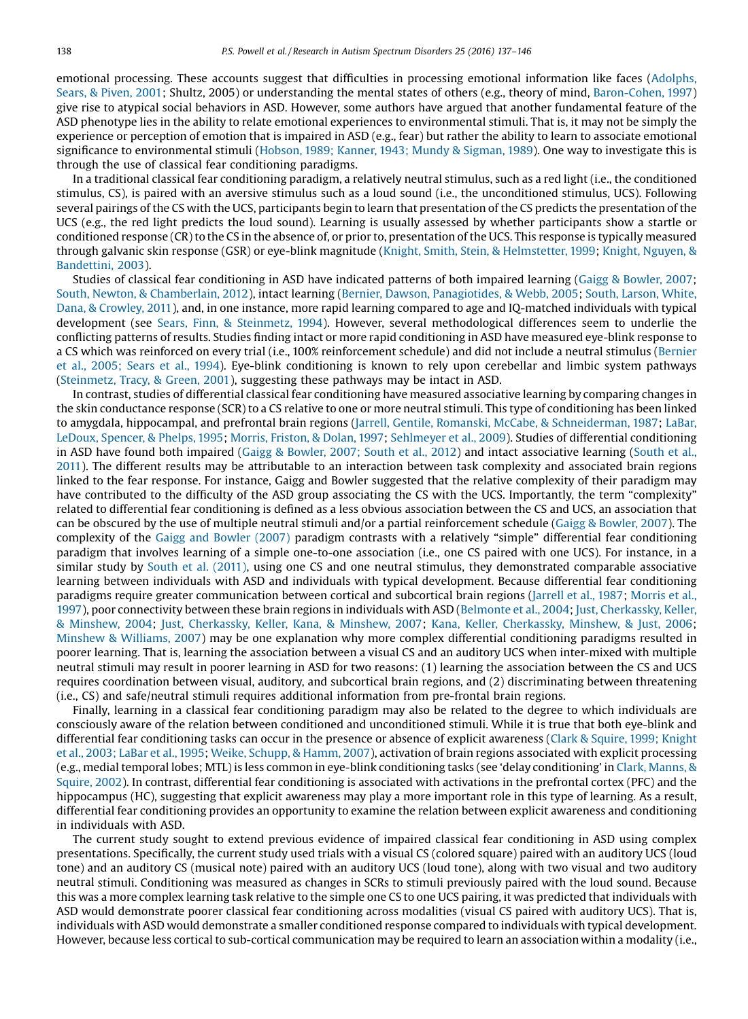emotional processing. These accounts suggest that difficulties in processing emotional information like faces (Adolphs, Sears, & Piven, 2001; Shultz, 2005) or understanding the mental states of others (e.g., theory of mind, Baron-Cohen, 1997) give rise to atypical social behaviors in ASD. However, some authors have argued that another fundamental feature of the ASD phenotype lies in the ability to relate emotional experiences to environmental stimuli. That is, it may not be simply the experience or perception of emotion that is impaired in ASD (e.g., fear) but rather the ability to learn to associate emotional significance to environmental stimuli (Hobson, 1989; Kanner, 1943; Mundy & Sigman, 1989). One way to investigate this is through the use of classical fear conditioning paradigms.

In a traditional classical fear conditioning paradigm, a relatively neutral stimulus, such as a red light (i.e., the conditioned stimulus, CS), is paired with an aversive stimulus such as a loud sound (i.e., the unconditioned stimulus, UCS). Following several pairings of the CS with the UCS, participants begin to learn that presentation of the CS predicts the presentation of the UCS (e.g., the red light predicts the loud sound). Learning is usually assessed by whether participants show a startle or conditioned response (CR) to the CS in the absence of, or prior to, presentation of the UCS. This response is typically measured through galvanic skin response (GSR) or eye-blink magnitude (Knight, Smith, Stein, & Helmstetter, 1999; Knight, Nguyen, & Bandettini, 2003).

Studies of classical fear conditioning in ASD have indicated patterns of both impaired learning (Gaigg & Bowler, 2007; South, Newton, & Chamberlain, 2012), intact learning (Bernier, Dawson, Panagiotides, & Webb, 2005; South, Larson, White, Dana, & Crowley, 2011), and, in one instance, more rapid learning compared to age and IQ-matched individuals with typical development (see Sears, Finn, & Steinmetz, 1994). However, several methodological differences seem to underlie the conflicting patterns of results. Studies finding intact or more rapid conditioning in ASD have measured eye-blink response to a CS which was reinforced on every trial (i.e., 100% reinforcement schedule) and did not include a neutral stimulus (Bernier et al., 2005; Sears et al., 1994). Eye-blink conditioning is known to rely upon cerebellar and limbic system pathways (Steinmetz, Tracy, & Green, 2001), suggesting these pathways may be intact in ASD.

In contrast, studies of differential classical fear conditioning have measured associative learning by comparing changes in the skin conductance response (SCR) to a CS relative to one or more neutral stimuli. This type of conditioning has been linked to amygdala, hippocampal, and prefrontal brain regions (Jarrell, Gentile, Romanski, McCabe, & Schneiderman, 1987; LaBar, LeDoux, Spencer, & Phelps, 1995; Morris, Friston, & Dolan, 1997; Sehlmeyer et al., 2009). Studies of differential conditioning in ASD have found both impaired (Gaigg & Bowler, 2007; South et al., 2012) and intact associative learning (South et al., 2011). The different results may be attributable to an interaction between task complexity and associated brain regions linked to the fear response. For instance, Gaigg and Bowler suggested that the relative complexity of their paradigm may have contributed to the difficulty of the ASD group associating the CS with the UCS. Importantly, the term "complexity" related to differential fear conditioning is defined as a less obvious association between the CS and UCS, an association that can be obscured by the use of multiple neutral stimuli and/or a partial reinforcement schedule (Gaigg & Bowler, 2007). The complexity of the Gaigg and Bowler (2007) paradigm contrasts with a relatively "simple" differential fear conditioning paradigm that involves learning of a simple one-to-one association (i.e., one CS paired with one UCS). For instance, in a similar study by South et al. (2011), using one CS and one neutral stimulus, they demonstrated comparable associative learning between individuals with ASD and individuals with typical development. Because differential fear conditioning paradigms require greater communication between cortical and subcortical brain regions (Jarrell et al., 1987; Morris et al., 1997), poor connectivity between these brain regions in individuals with ASD (Belmonte et al., 2004; Just, Cherkassky, Keller, & Minshew, 2004; Just, Cherkassky, Keller, Kana, & Minshew, 2007; Kana, Keller, Cherkassky, Minshew, & Just, 2006; Minshew & Williams, 2007) may be one explanation why more complex differential conditioning paradigms resulted in poorer learning. That is, learning the association between a visual CS and an auditory UCS when inter-mixed with multiple neutral stimuli may result in poorer learning in ASD for two reasons: (1) learning the association between the CS and UCS requires coordination between visual, auditory, and subcortical brain regions, and (2) discriminating between threatening (i.e., CS) and safe/neutral stimuli requires additional information from pre-frontal brain regions.

Finally, learning in a classical fear conditioning paradigm may also be related to the degree to which individuals are consciously aware of the relation between conditioned and unconditioned stimuli. While it is true that both eye-blink and differential fear conditioning tasks can occur in the presence or absence of explicit awareness (Clark & Squire, 1999; Knight et al., 2003; LaBar et al.,1995; Weike, Schupp, & Hamm, 2007), activation of brain regions associated with explicit processing (e.g., medial temporal lobes; MTL) is less common in eye-blink conditioning tasks (see 'delay conditioning' in Clark, Manns, & Squire, 2002). In contrast, differential fear conditioning is associated with activations in the prefrontal cortex (PFC) and the hippocampus (HC), suggesting that explicit awareness may play a more important role in this type of learning. As a result, differential fear conditioning provides an opportunity to examine the relation between explicit awareness and conditioning in individuals with ASD.

The current study sought to extend previous evidence of impaired classical fear conditioning in ASD using complex presentations. Specifically, the current study used trials with a visual CS (colored square) paired with an auditory UCS (loud tone) and an auditory CS (musical note) paired with an auditory UCS (loud tone), along with two visual and two auditory neutral stimuli. Conditioning was measured as changes in SCRs to stimuli previously paired with the loud sound. Because this was a more complex learning task relative to the simple one CS to one UCS pairing, it was predicted that individuals with ASD would demonstrate poorer classical fear conditioning across modalities (visual CS paired with auditory UCS). That is, individuals with ASD would demonstrate a smaller conditioned response compared to individuals with typical development. However, because less cortical to sub-cortical communication may be required to learn an association within a modality (i.e.,